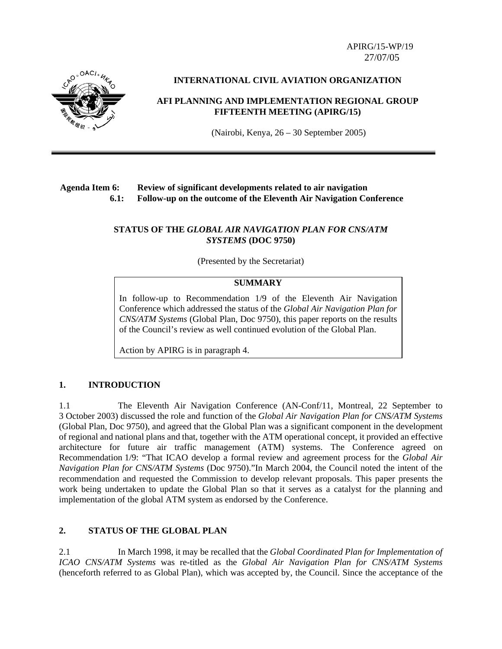APIRG/15-WP/19 27/07/05



#### **INTERNATIONAL CIVIL AVIATION ORGANIZATION**

## **AFI PLANNING AND IMPLEMENTATION REGIONAL GROUP FIFTEENTH MEETING (APIRG/15)**

(Nairobi, Kenya, 26 – 30 September 2005)

## **Agenda Item 6: Review of significant developments related to air navigation 6.1: Follow-up on the outcome of the Eleventh Air Navigation Conference**

## **STATUS OF THE** *GLOBAL AIR NAVIGATION PLAN FOR CNS/ATM SYSTEMS* **(DOC 9750)**

(Presented by the Secretariat)

#### **SUMMARY**

In follow-up to Recommendation 1/9 of the Eleventh Air Navigation Conference which addressed the status of the *Global Air Navigation Plan for CNS/ATM Systems* (Global Plan, Doc 9750), this paper reports on the results of the Council's review as well continued evolution of the Global Plan.

Action by APIRG is in paragraph 4.

## **1. INTRODUCTION**

1.1 The Eleventh Air Navigation Conference (AN-Conf/11, Montreal, 22 September to 3 October 2003) discussed the role and function of the *Global Air Navigation Plan for CNS/ATM Systems* (Global Plan, Doc 9750), and agreed that the Global Plan was a significant component in the development of regional and national plans and that, together with the ATM operational concept, it provided an effective architecture for future air traffic management (ATM) systems. The Conference agreed on Recommendation 1/9: "That ICAO develop a formal review and agreement process for the *Global Air Navigation Plan for CNS/ATM Systems* (Doc 9750)."In March 2004, the Council noted the intent of the recommendation and requested the Commission to develop relevant proposals. This paper presents the work being undertaken to update the Global Plan so that it serves as a catalyst for the planning and implementation of the global ATM system as endorsed by the Conference.

#### **2. STATUS OF THE GLOBAL PLAN**

2.1 In March 1998, it may be recalled that the *Global Coordinated Plan for Implementation of ICAO CNS/ATM Systems* was re-titled as the *Global Air Navigation Plan for CNS/ATM Systems*  (henceforth referred to as Global Plan), which was accepted by, the Council. Since the acceptance of the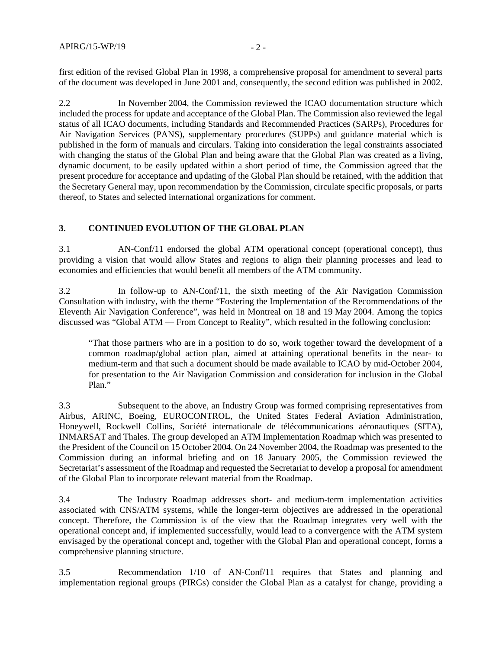first edition of the revised Global Plan in 1998, a comprehensive proposal for amendment to several parts of the document was developed in June 2001 and, consequently, the second edition was published in 2002.

2.2 In November 2004, the Commission reviewed the ICAO documentation structure which included the process for update and acceptance of the Global Plan. The Commission also reviewed the legal status of all ICAO documents, including Standards and Recommended Practices (SARPs), Procedures for Air Navigation Services (PANS), supplementary procedures (SUPPs) and guidance material which is published in the form of manuals and circulars. Taking into consideration the legal constraints associated with changing the status of the Global Plan and being aware that the Global Plan was created as a living, dynamic document, to be easily updated within a short period of time, the Commission agreed that the present procedure for acceptance and updating of the Global Plan should be retained, with the addition that the Secretary General may, upon recommendation by the Commission, circulate specific proposals, or parts thereof, to States and selected international organizations for comment.

# **3. CONTINUED EVOLUTION OF THE GLOBAL PLAN**

3.1 AN-Conf/11 endorsed the global ATM operational concept (operational concept), thus providing a vision that would allow States and regions to align their planning processes and lead to economies and efficiencies that would benefit all members of the ATM community.

3.2 In follow-up to AN-Conf/11, the sixth meeting of the Air Navigation Commission Consultation with industry, with the theme "Fostering the Implementation of the Recommendations of the Eleventh Air Navigation Conference", was held in Montreal on 18 and 19 May 2004. Among the topics discussed was "Global ATM — From Concept to Reality", which resulted in the following conclusion:

"That those partners who are in a position to do so, work together toward the development of a common roadmap/global action plan, aimed at attaining operational benefits in the near- to medium-term and that such a document should be made available to ICAO by mid-October 2004, for presentation to the Air Navigation Commission and consideration for inclusion in the Global Plan."

3.3 Subsequent to the above, an Industry Group was formed comprising representatives from Airbus, ARINC, Boeing, EUROCONTROL, the United States Federal Aviation Administration, Honeywell, Rockwell Collins, Société internationale de télécommunications aéronautiques (SITA), INMARSAT and Thales. The group developed an ATM Implementation Roadmap which was presented to the President of the Council on 15 October 2004. On 24 November 2004, the Roadmap was presented to the Commission during an informal briefing and on 18 January 2005, the Commission reviewed the Secretariat's assessment of the Roadmap and requested the Secretariat to develop a proposal for amendment of the Global Plan to incorporate relevant material from the Roadmap.

3.4 The Industry Roadmap addresses short- and medium-term implementation activities associated with CNS/ATM systems, while the longer-term objectives are addressed in the operational concept. Therefore, the Commission is of the view that the Roadmap integrates very well with the operational concept and, if implemented successfully, would lead to a convergence with the ATM system envisaged by the operational concept and, together with the Global Plan and operational concept, forms a comprehensive planning structure.

3.5 Recommendation 1/10 of AN-Conf/11 requires that States and planning and implementation regional groups (PIRGs) consider the Global Plan as a catalyst for change, providing a